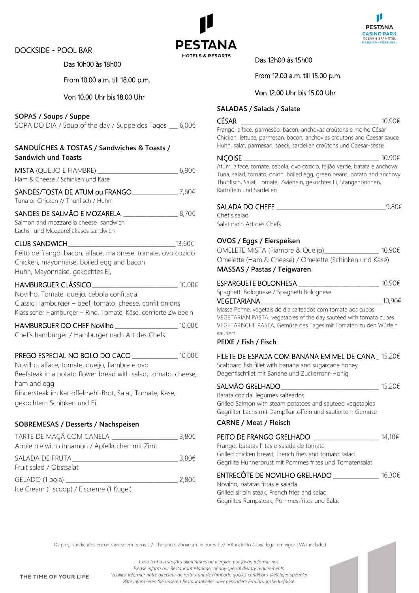## DOCKSIDE - POOL BAR





#### Das 10h00 às 18h00

### From 10.00 a.m. till 18.00 p.m.

#### Von 10.00 Uhr bis 18.00 Uhr

#### **SOPAS / Soups / Suppe**

SOPA DO DIA / Soup of the day / Suppe des Tages  $6,006$ 

| SANDUÍCHES & TOSTAS / Sandwiches & Toasts /<br><b>Sandwich und Toasts</b> |       |
|---------------------------------------------------------------------------|-------|
| <b>MISTA</b> (QUEIJO E FIAMBRE)<br>Ham & Cheese / Schinken und Käse       | 6.90€ |
| SANDES/TOSTA DE ATUM ou FRANGO<br>Tuna or Chicken // Thunfisch / Huhn     | 7.60€ |
| SANDES DE SALMÃO E MOZARELA                                               | 8.70€ |

Salmon and mozzarella cheese sandwich Lachs- und Mozzarellakäses sandwich

# $CLUB$  SANDWICH  $13.60€$

Peito de frango, bacon, alface, maionese, tomate, ovo cozido Chicken, mayonnaise, boiled egg and bacon Huhn, Mayonnaise, gekochtes Ei,

| <b>HAMBURGUER CLÁSSICO</b>                                     | 10,00€ |
|----------------------------------------------------------------|--------|
| Novilho, Tomate, queijo, cebola confitada                      |        |
| Classic Hamburger – beef, tomato, cheese, confit onions        |        |
| Klassischer Hamburger – Rind, Tomate, Käse, confierte Zwiebeln |        |

HAMBURGUER DO CHEF Novilho \_\_\_\_\_\_\_\_\_\_\_\_\_\_\_\_\_\_\_\_\_\_ 10,00€

Chef's hamburger / Hamburger nach Art des Chefs

#### PREGO ESPECIAL NO BOLO DO CACO <del>especial</del> no <sup>10,00€</sup>

Novilho, alface, tomate, queijo, fiambre e ovo Beefsteak in a potato flower bread with salad, tomato, cheese, ham and egg Rindersteak im Kartoffelmehl-Brot, Salat, Tomate, Käse, gekochtem Schinken und Ei

## **SOBREMESAS / Desserts / Nachspeisen**

| TARTE DE MAÇÃ COM CANELA                       | 3,80€ |
|------------------------------------------------|-------|
| Apple pie with cinnamon / Apfelkuchen mit Zimt |       |
| SALADA DE FRUTA                                | 3,80€ |
| Fruit salad / Obstsalat                        |       |
| GELADO (1 bola)                                | 2,80€ |
| Ice Cream (1 scoop) / Eiscreme (1 Kugel)       |       |

Das 12h00 às 15h00

## From 12.00 a.m. till 15.00 p.m.

#### Von 12.00 Uhr bis 15.00 Uhr

#### **SALADAS / Salads / Salate**

#### CÉSAR \_\_\_\_\_\_\_\_\_\_\_\_\_\_\_\_\_\_\_\_\_\_\_\_\_\_\_\_\_\_\_\_\_\_\_\_\_\_\_\_\_\_\_\_\_\_\_\_ 10,90€

Frango, alface, parmesão, bacon, anchovas croûtons e molho César Chicken, lettuce, parmesan, bacon, anchovies croutons and Caesar sauce Huhn, salat, parmesan, speck, sardellen croûtons und Caesar-sosse

#### $NICOISE$   $10,90€$

Atum, alface, tomate, cebola, ovo cozido, feijão verde, batata e anchova Tuna, salad, tomato, onion, boiled egg, green beans, potato and anchovy Thunfisch, Salat, Tomate, Zwiebeln, gekochtes Ei, Stangenbohnen, Kartoffeln und Sardellen

### $SALADA DO CHEFE$   $9,80€$

Chef´s salad Salat nach Art des Chefs

### **OVOS / Eggs / Eierspeisen**

OMELETE MISTA (Fiambre & Queijo)\_\_\_\_\_\_\_\_\_\_\_\_\_\_\_\_\_\_\_ 10,90€ Omelette (Ham & Cheese) / Omelette (Schinken und Käse) **MASSAS / Pastas / Teigwaren**

#### ESPARGUETE BOLONHESA \_\_\_\_\_\_\_\_\_\_\_\_\_\_\_\_\_\_\_\_\_\_\_\_\_\_\_\_ 10,90€

Spaghetti Bolognese / Spaghetti Bolognese

 $VEGETARIANA$  and the set of the set of the set of the set of the set of the set of the set of the set of the set of the set of the set of the set of the set of the set of the set of the set of the set of the set of the set of

Massa Penne, vegetais do dia salteados com tomate aos cubos VEGETARIAN PASTA, vegetables of the day sautéed with tomato cubes VEGETARISCHE PASTA, Gemüse des Tages mit Tomaten zu den Würfeln sautiert

#### **PEIXE / Fish / Fisch**

Scabbard fish fillet with banana and sugarcane honey Degenfischfilet mit Banane und Zuckerrohr-Honig

| SALMÃO GRELHADO                                            | 15,20€ |
|------------------------------------------------------------|--------|
| Batata cozida, legumes salteados                           |        |
| Grilled Salmon with steam potatoes and sauteed vegetables  |        |
| Gegrillter Lachs mit Dampfkartoffeln und sautiertem Gemüse |        |
| <b>CARNE / Meat / Fleisch</b>                              |        |

## PEITO DE FRANGO GRELHADO **entranto de 14,10€**

Frango, batatas fritas e salada de tomate Grilled chicken breast, French fries and tomato salad Gegrillte Hühnerbrust mit Pommes frites und Tomatensalat

#### ENTRECÔTE DE NOVILHO GRELHADO \_\_\_\_\_\_\_\_\_\_\_\_\_\_\_\_ 16,30€

Novilho, batatas fritas e salada Grilled sirloin steak, French fries and salad Gegrilltes Rumpsteak, Pommes frites und Salat

Os preços indicados encontram-se em euros € / The prices above are in euros € // IVA incluído à taxa legal em vigor | VAT included

*Caso tenha restrições alimentares ou alergias, por favor, informe-nos. Please inform our Restaurant Manager of any special dietary requirements. Veuillez informer notre directeur de restaurant de n'importe quelles conditions diététiqes spéciales Bitte informieren Sie unseren Restaurantleiter über besondere Ernährungsbedürfnisse.*